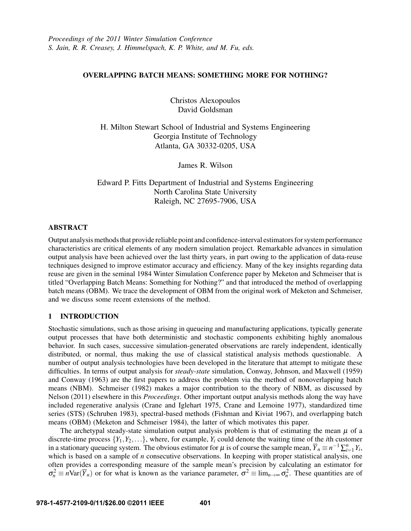# OVERLAPPING BATCH MEANS: SOMETHING MORE FOR NOTHING?

Christos Alexopoulos David Goldsman

H. Milton Stewart School of Industrial and Systems Engineering Georgia Institute of Technology Atlanta, GA 30332-0205, USA

James R. Wilson

Edward P. Fitts Department of Industrial and Systems Engineering North Carolina State University Raleigh, NC 27695-7906, USA

# ABSTRACT

Output analysis methods that provide reliable point and confidence-interval estimators for system performance characteristics are critical elements of any modern simulation project. Remarkable advances in simulation output analysis have been achieved over the last thirty years, in part owing to the application of data-reuse techniques designed to improve estimator accuracy and efficiency. Many of the key insights regarding data reuse are given in the seminal 1984 Winter Simulation Conference paper by Meketon and Schmeiser that is titled "Overlapping Batch Means: Something for Nothing?" and that introduced the method of overlapping batch means (OBM). We trace the development of OBM from the original work of Meketon and Schmeiser, and we discuss some recent extensions of the method.

# 1 INTRODUCTION

Stochastic simulations, such as those arising in queueing and manufacturing applications, typically generate output processes that have both deterministic and stochastic components exhibiting highly anomalous behavior. In such cases, successive simulation-generated observations are rarely independent, identically distributed, or normal, thus making the use of classical statistical analysis methods questionable. A number of output analysis technologies have been developed in the literature that attempt to mitigate these difficulties. In terms of output analysis for *steady-state* simulation, Conway, Johnson, and Maxwell (1959) and Conway (1963) are the first papers to address the problem via the method of nonoverlapping batch means (NBM). Schmeiser (1982) makes a major contribution to the theory of NBM, as discussed by Nelson (2011) elsewhere in this *Proceedings*. Other important output analysis methods along the way have included regenerative analysis (Crane and Iglehart 1975, Crane and Lemoine 1977), standardized time series (STS) (Schruben 1983), spectral-based methods (Fishman and Kiviat 1967), and overlapping batch means (OBM) (Meketon and Schmeiser 1984), the latter of which motivates this paper.

The archetypal steady-state simulation output analysis problem is that of estimating the mean  $\mu$  of a discrete-time process  $\{Y_1, Y_2, \ldots\}$ , where, for example,  $Y_i$  could denote the waiting time of the *i*th customer in a stationary queueing system. The obvious estimator for  $\mu$  is of course the sample mean,  $\overline{Y}_n \equiv n^{-1} \sum_{i=1}^n Y_i$ , which is based on a sample of *n* consecutive observations. In keeping with proper statistical analysis, one often provides a corresponding measure of the sample mean's precision by calculating an estimator for  $\sigma_n^2 \equiv n \text{Var}(\overline{Y}_n)$  or for what is known as the variance parameter,  $\sigma^2 \equiv \lim_{n \to \infty} \sigma_n^2$ . These quantities are of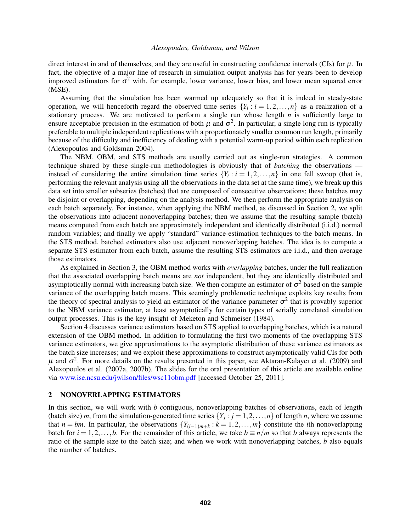direct interest in and of themselves, and they are useful in constructing confidence intervals (CIs) for  $\mu$ . In fact, the objective of a major line of research in simulation output analysis has for years been to develop improved estimators for  $\sigma^2$  with, for example, lower variance, lower bias, and lower mean squared error (MSE).

Assuming that the simulation has been warmed up adequately so that it is indeed in steady-state operation, we will henceforth regard the observed time series  $\{Y_i : i = 1, 2, ..., n\}$  as a realization of a stationary process. We are motivated to perform a single run whose length  $n$  is sufficiently large to ensure acceptable precision in the estimation of both  $\mu$  and  $\sigma^2$ . In particular, a single long run is typically preferable to multiple independent replications with a proportionately smaller common run length, primarily because of the difficulty and inefficiency of dealing with a potential warm-up period within each replication (Alexopoulos and Goldsman 2004).

The NBM, OBM, and STS methods are usually carried out as single-run strategies. A common technique shared by these single-run methodologies is obviously that of *batching* the observations instead of considering the entire simulation time series  $\{Y_i : i = 1, 2, ..., n\}$  in one fell swoop (that is, performing the relevant analysis using all the observations in the data set at the same time), we break up this data set into smaller subseries (batches) that are composed of consecutive observations; these batches may be disjoint or overlapping, depending on the analysis method. We then perform the appropriate analysis on each batch separately. For instance, when applying the NBM method, as discussed in Section 2, we split the observations into adjacent nonoverlapping batches; then we assume that the resulting sample (batch) means computed from each batch are approximately independent and identically distributed (i.i.d.) normal random variables; and finally we apply "standard" variance-estimation techniques to the batch means. In the STS method, batched estimators also use adjacent nonoverlapping batches. The idea is to compute a separate STS estimator from each batch, assume the resulting STS estimators are i.i.d., and then average those estimators.

As explained in Section 3, the OBM method works with *overlapping* batches, under the full realization that the associated overlapping batch means are *not* independent, but they are identically distributed and asymptotically normal with increasing batch size. We then compute an estimator of  $\sigma^2$  based on the sample variance of the overlapping batch means. This seemingly problematic technique exploits key results from the theory of spectral analysis to yield an estimator of the variance parameter  $\sigma^2$  that is provably superior to the NBM variance estimator, at least asymptotically for certain types of serially correlated simulation output processes. This is the key insight of Meketon and Schmeiser (1984).

Section 4 discusses variance estimators based on STS applied to overlapping batches, which is a natural extension of the OBM method. In addition to formulating the first two moments of the overlapping STS variance estimators, we give approximations to the asymptotic distribution of these variance estimators as the batch size increases; and we exploit these approximations to construct asymptotically valid CIs for both  $\mu$  and  $\sigma^2$ . For more details on the results presented in this paper, see Aktaran-Kalaycı et al. (2009) and Alexopoulos et al. (2007a, 2007b). The slides for the oral presentation of this article are available online via www.ise.ncsu.edu/jwilson/files/wsc11obm.pdf [accessed October 25, 2011].

# 2 NONOVERLAPPING ESTIMATORS

In this section, we will work with *b* contiguous, nonoverlapping batches of observations, each of length (batch size) *m*, from the simulation-generated time series  $\{Y_j : j = 1, 2, ..., n\}$  of length *n*, where we assume that *n* = *bm*. In particular, the observations  $\{Y_{(i-1)m+k} : k = 1, 2, ..., m\}$  constitute the *i*th nonoverlapping batch for  $i = 1, 2, \ldots, b$ . For the remainder of this article, we take  $b \equiv n/m$  so that *b* always represents the ratio of the sample size to the batch size; and when we work with nonoverlapping batches, *b* also equals the number of batches.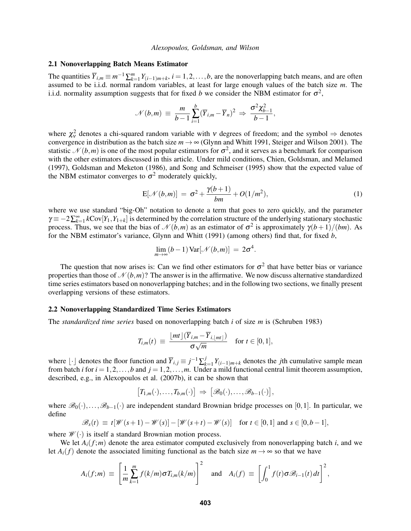# 2.1 Nonoverlapping Batch Means Estimator

The quantities  $\overline{Y}_{i,m} \equiv m^{-1} \sum_{k=1}^{m} Y_{(i-1)m+k}$ ,  $i = 1, 2, ..., b$ , are the nonoverlapping batch means, and are often assumed to be i.i.d. normal random variables, at least for large enough values of the batch size *m*. The i.i.d. normality assumption suggests that for fixed *b* we consider the NBM estimator for  $\sigma^2$ ,

$$
\mathcal{N}(b,m) \equiv \frac{m}{b-1} \sum_{i=1}^{b} (\overline{Y}_{i,m} - \overline{Y}_n)^2 \Rightarrow \frac{\sigma^2 \chi_{b-1}^2}{b-1},
$$

where  $\chi^2_v$  denotes a chi-squared random variable with v degrees of freedom; and the symbol  $\Rightarrow$  denotes convergence in distribution as the batch size  $m \to \infty$  (Glynn and Whitt 1991, Steiger and Wilson 2001). The statistic  $\mathcal{N}(b,m)$  is one of the most popular estimators for  $\sigma^2$ , and it serves as a benchmark for comparison with the other estimators discussed in this article. Under mild conditions, Chien, Goldsman, and Melamed (1997), Goldsman and Meketon (1986), and Song and Schmeiser (1995) show that the expected value of the NBM estimator converges to  $\sigma^2$  moderately quickly,

$$
E[\mathcal{N}(b,m)] = \sigma^2 + \frac{\gamma(b+1)}{bm} + O(1/m^2), \qquad (1)
$$

where we use standard "big-Oh" notation to denote a term that goes to zero quickly, and the parameter  $\gamma = -2\sum_{k=1}^{\infty} k \text{Cov}[Y_1, Y_{1+k}]$  is determined by the correlation structure of the underlying stationary stochastic process. Thus, we see that the bias of  $\mathcal{N}(b,m)$  as an estimator of  $\sigma^2$  is approximately  $\gamma(b+1)/(bm)$ . As for the NBM estimator's variance, Glynn and Whitt (1991) (among others) find that, for fixed *b*,

$$
\lim_{m\to\infty}(b-1)\operatorname{Var}[\mathcal{N}(b,m)] = 2\sigma^4.
$$

The question that now arises is: Can we find other estimators for  $\sigma^2$  that have better bias or variance properties than those of  $\mathcal{N}(b,m)$ ? The answer is in the affirmative. We now discuss alternative standardized time series estimators based on nonoverlapping batches; and in the following two sections, we finally present overlapping versions of these estimators.

# 2.2 Nonoverlapping Standardized Time Series Estimators

The *standardized time series* based on nonoverlapping batch *i* of size *m* is (Schruben 1983)

$$
T_{i,m}(t) \equiv \frac{\lfloor mt \rfloor (\overline{Y}_{i,m} - \overline{Y}_{i,\lfloor mt \rfloor})}{\sigma \sqrt{m}} \quad \text{for } t \in [0,1],
$$

where  $\lfloor \cdot \rfloor$  denotes the floor function and  $\overline{Y}_{i,j} \equiv j^{-1} \sum_{k=1}^{j}$  $\sum_{k=1}^{J} Y_{(i-1)m+k}$  denotes the *j*th cumulative sample mean from batch *i* for  $i = 1, 2, \ldots, b$  and  $j = 1, 2, \ldots, m$ . Under a mild functional central limit theorem assumption, described, e.g., in Alexopoulos et al. (2007b), it can be shown that

$$
[T_{1,m}(\cdot),\ldots,T_{b,m}(\cdot)] \Rightarrow [\mathscr{B}_0(\cdot),\ldots,\mathscr{B}_{b-1}(\cdot)],
$$

where  $\mathscr{B}_0(\cdot),\ldots,\mathscr{B}_{b-1}(\cdot)$  are independent standard Brownian bridge processes on [0,1]. In particular, we define

$$
\mathscr{B}_s(t) \equiv t[\mathscr{W}(s+1) - \mathscr{W}(s)] - [\mathscr{W}(s+t) - \mathscr{W}(s)] \quad \text{for } t \in [0,1] \text{ and } s \in [0,b-1],
$$

where  $\mathcal{W}(\cdot)$  is itself a standard Brownian motion process.

We let  $A_i(f; m)$  denote the area estimator computed exclusively from nonoverlapping batch *i*, and we let  $A_i(f)$  denote the associated limiting functional as the batch size  $m \to \infty$  so that we have

$$
A_i(f;m) \equiv \left[\frac{1}{m}\sum_{k=1}^m f(k/m)\sigma T_{i,m}(k/m)\right]^2 \text{ and } A_i(f) \equiv \left[\int_0^1 f(t)\sigma \mathcal{B}_{i-1}(t)dt\right]^2,
$$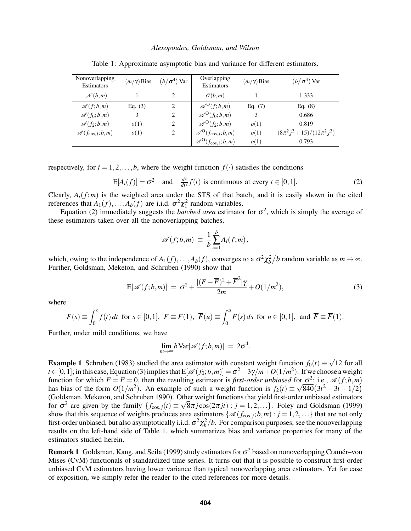| Nonoverlapping<br>Estimators  | $(m/\gamma)$ Bias | $(b/\sigma^4)$ Var | Overlapping<br>Estimators                          | $(m/\gamma)$ Bias | $(b/\sigma^4)$ Var                |
|-------------------------------|-------------------|--------------------|----------------------------------------------------|-------------------|-----------------------------------|
| $\mathcal{N}(b,m)$            |                   | 2                  | $\mathcal{O}(b,m)$                                 |                   | 1.333                             |
| $\mathscr{A}(f;b,m)$          | Eq. $(3)$         | 2                  | $\mathscr{A}^{\mathrm{O}}(f; b,m)$                 | Eq. $(7)$         | Eq. $(8)$                         |
| $\mathscr{A}(f_0;b,m)$        | 3                 | 2                  | $\mathscr{A}^{\mathrm{O}}(f_0;b,m)$                | 3                 | 0.686                             |
| $\mathscr{A}(f_2;b,m)$        | o(1)              | 2                  | $\mathscr{A}^{\mathrm{O}}(f_2; b, m)$              | o(1)              | 0.819                             |
| $\mathscr{A}(f_{\cos,i};b,m)$ | o(1)              | 2                  | $\mathscr{A}^{\mathrm{O}}(f_{\cos,j};b,m)$         | o(1)              | $(8\pi^2 j^2 + 15)/(12\pi^2 j^2)$ |
|                               |                   |                    | $\mathscr{A}^{\mathrm{O}}(f_{\mathrm{cos},1};b,m)$ | o(1)              | 0.793                             |

Table 1: Approximate asymptotic bias and variance for different estimators.

respectively, for  $i = 1, 2, \ldots, b$ , where the weight function  $f(\cdot)$  satisfies the conditions

$$
E[A_i(f)] = \sigma^2 \quad \text{and} \quad \frac{d^2}{dt^2} f(t) \text{ is continuous at every } t \in [0, 1]. \tag{2}
$$

Clearly,  $A_i(f; m)$  is the weighted area under the STS of that batch; and it is easily shown in the cited references that  $A_1(f),...,A_b(f)$  are i.i.d.  $\sigma^2 \chi_1^2$  random variables.

Equation (2) immediately suggests the *batched area* estimator for  $\sigma^2$ , which is simply the average of these estimators taken over all the nonoverlapping batches,

$$
\mathscr{A}(f;b,m) \equiv \frac{1}{b} \sum_{i=1}^{b} A_i(f;m),
$$

which, owing to the independence of  $A_1(f),...,A_b(f)$ , converges to a  $\sigma^2 \chi_b^2/b$  random variable as  $m \to \infty$ . Further, Goldsman, Meketon, and Schruben (1990) show that

$$
E[\mathscr{A}(f;b,m)] = \sigma^2 + \frac{[(F-\overline{F})^2 + \overline{F}^2]\gamma}{2m} + O(1/m^2),
$$
\n(3)

where

$$
F(s) \equiv \int_0^s f(t) \, dt \text{ for } s \in [0,1], \ F \equiv F(1), \ \overline{F}(u) \equiv \int_0^u F(s) \, ds \text{ for } u \in [0,1], \text{ and } \overline{F} \equiv \overline{F}(1).
$$

Further, under mild conditions, we have

$$
\lim_{m\to\infty}b\operatorname{Var}[\mathscr{A}(f;b,m)] = 2\sigma^4.
$$

**Example 1** Schruben (1983) studied the area estimator with constant weight function  $f_0(t) \equiv$ √ 12 for all  $t \in [0,1]$ ; in this case, Equation (3) implies that  $E[\mathscr{A}(f_0; b, m)] = \sigma^2 + 3\gamma/m + O(1/m^2)$ . If we choose a weight function for which  $F = \overline{F} = 0$ , then the resulting estimator is *first-order unbiased* for  $\sigma^2$ ; i.e.,  $\mathscr{A}(f; b, m)$ has bias of the form  $O(1/m^2)$ . An example of such a weight function is  $f_2(t) \equiv \sqrt{840}(3t^2 - 3t + 1/2)$ (Goldsman, Meketon, and Schruben 1990). Other weight functions that yield first-order unbiased estimators for  $\sigma^2$  are given by the family  $\{f_{\cos j}(t) \equiv \sqrt{8\pi j} \cos(2\pi j t) : j = 1, 2, ...\}$ . Foley and Goldsman (1999) show that this sequence of weights produces area estimators  $\{\mathscr{A}(f_{\text{cos}, j}; b, m) : j = 1, 2, ...\}$  that are not only first-order unbiased, but also asymptotically i.i.d.  $\sigma^2 \chi_b^2/b$ . For comparison purposes, see the nonoverlapping results on the left-hand side of Table 1, which summarizes bias and variance properties for many of the estimators studied herein.

**Remark 1** Goldsman, Kang, and Seila (1999) study estimators for  $\sigma^2$  based on nonoverlapping Cramér–von Mises (CvM) functionals of standardized time series. It turns out that it is possible to construct first-order unbiased CvM estimators having lower variance than typical nonoverlapping area estimators. Yet for ease of exposition, we simply refer the reader to the cited references for more details.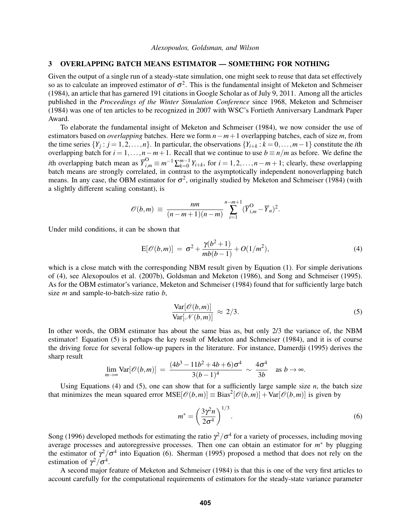# 3 OVERLAPPING BATCH MEANS ESTIMATOR — SOMETHING FOR NOTHING

Given the output of a single run of a steady-state simulation, one might seek to reuse that data set effectively so as to calculate an improved estimator of  $\sigma^2$ . This is the fundamental insight of Meketon and Schmeiser (1984), an article that has garnered 191 citations in Google Scholar as of July 9, 2011. Among all the articles published in the *Proceedings of the Winter Simulation Conference* since 1968, Meketon and Schmeiser (1984) was one of ten articles to be recognized in 2007 with WSC's Fortieth Anniversary Landmark Paper Award.

To elaborate the fundamental insight of Meketon and Schmeiser (1984), we now consider the use of estimators based on *overlapping* batches. Here we form *n*−*m*+1 overlapping batches, each of size *m*, from the time series  $\{Y_j : j = 1, 2, ..., n\}$ . In particular, the observations  $\{Y_{i+k} : k = 0, ..., m-1\}$  constitute the *i*th overlapping batch for  $i = 1, ..., n-m+1$ . Recall that we continue to use  $b \equiv n/m$  as before. We define the *i*th overlapping batch mean as  $\overline{Y}_{i,m}^O \equiv m^{-1} \sum_{k=0}^{m-1} Y_{i+k}$ , for  $i = 1, 2, ..., n-m+1$ ; clearly, these overlapping batch means are strongly correlated, in contrast to the asymptotically independent nonoverlapping batch means. In any case, the OBM estimator for  $\sigma^2$ , originally studied by Meketon and Schmeiser (1984) (with a slightly different scaling constant), is

$$
\mathscr{O}(b,m) \equiv \frac{nm}{(n-m+1)(n-m)} \sum_{i=1}^{n-m+1} (\overline{Y}_{i,m}^{O} - \overline{Y}_n)^2.
$$

Under mild conditions, it can be shown that

$$
E[\mathscr{O}(b,m)] = \sigma^2 + \frac{\gamma(b^2+1)}{mb(b-1)} + O(1/m^2),
$$
\n(4)

which is a close match with the corresponding NBM result given by Equation (1). For simple derivations of (4), see Alexopoulos et al. (2007b), Goldsman and Meketon (1986), and Song and Schmeiser (1995). As for the OBM estimator's variance, Meketon and Schmeiser (1984) found that for sufficiently large batch size *m* and sample-to-batch-size ratio *b*,

$$
\frac{\text{Var}[\mathscr{O}(b,m)]}{\text{Var}[\mathscr{N}(b,m)]} \approx 2/3. \tag{5}
$$

In other words, the OBM estimator has about the same bias as, but only 2/3 the variance of, the NBM estimator! Equation (5) is perhaps the key result of Meketon and Schmeiser (1984), and it is of course the driving force for several follow-up papers in the literature. For instance, Damerdji (1995) derives the sharp result

$$
\lim_{m\to\infty} \text{Var}[\mathscr{O}(b,m)] = \frac{(4b^3 - 11b^2 + 4b + 6)\sigma^4}{3(b-1)^4} \sim \frac{4\sigma^4}{3b} \text{ as } b\to\infty.
$$

Using Equations (4) and (5), one can show that for a sufficiently large sample size  $n$ , the batch size that minimizes the mean squared error  $MSE[\mathcal{O}(b,m)] \equiv Bias^2[\mathcal{O}(b,m)] + Var[\mathcal{O}(b,m)]$  is given by

$$
m^* = \left(\frac{3\gamma^2 n}{2\sigma^4}\right)^{1/3}.\tag{6}
$$

Song (1996) developed methods for estimating the ratio  $\gamma^2/\sigma^4$  for a variety of processes, including moving average processes and autoregressive processes. Then one can obtain an estimator for  $m^*$  by plugging the estimator of  $\gamma^2/\sigma^4$  into Equation (6). Sherman (1995) proposed a method that does not rely on the estimation of  $\gamma^2/\sigma^4$ .

A second major feature of Meketon and Schmeiser (1984) is that this is one of the very first articles to account carefully for the computational requirements of estimators for the steady-state variance parameter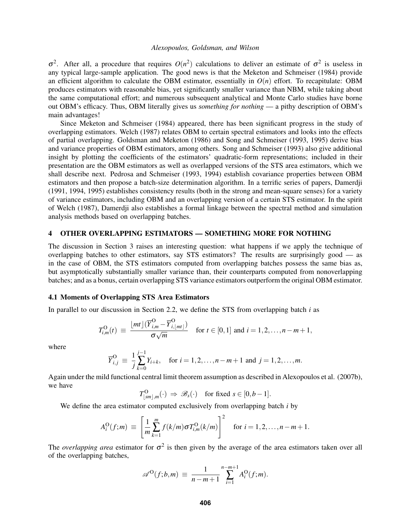$σ<sup>2</sup>$ . After all, a procedure that requires  $O(n<sup>2</sup>)$  calculations to deliver an estimate of  $σ<sup>2</sup>$  is useless in any typical large-sample application. The good news is that the Meketon and Schmeiser (1984) provide an efficient algorithm to calculate the OBM estimator, essentially in  $O(n)$  effort. To recapitulate: OBM produces estimators with reasonable bias, yet significantly smaller variance than NBM, while taking about the same computational effort; and numerous subsequent analytical and Monte Carlo studies have borne out OBM's efficacy. Thus, OBM literally gives us *something for nothing* — a pithy description of OBM's main advantages!

Since Meketon and Schmeiser (1984) appeared, there has been significant progress in the study of overlapping estimators. Welch (1987) relates OBM to certain spectral estimators and looks into the effects of partial overlapping. Goldsman and Meketon (1986) and Song and Schmeiser (1993, 1995) derive bias and variance properties of OBM estimators, among others. Song and Schmeiser (1993) also give additional insight by plotting the coefficients of the estimators' quadratic-form representations; included in their presentation are the OBM estimators as well as overlapped versions of the STS area estimators, which we shall describe next. Pedrosa and Schmeiser (1993, 1994) establish covariance properties between OBM estimators and then propose a batch-size determination algorithm. In a terrific series of papers, Damerdji (1991, 1994, 1995) establishes consistency results (both in the strong and mean-square senses) for a variety of variance estimators, including OBM and an overlapping version of a certain STS estimator. In the spirit of Welch (1987), Damerdji also establishes a formal linkage between the spectral method and simulation analysis methods based on overlapping batches.

#### 4 OTHER OVERLAPPING ESTIMATORS — SOMETHING MORE FOR NOTHING

The discussion in Section 3 raises an interesting question: what happens if we apply the technique of overlapping batches to other estimators, say STS estimators? The results are surprisingly good — as in the case of OBM, the STS estimators computed from overlapping batches possess the same bias as, but asymptotically substantially smaller variance than, their counterparts computed from nonoverlapping batches; and as a bonus, certain overlapping STS variance estimators outperform the original OBM estimator.

### 4.1 Moments of Overlapping STS Area Estimators

In parallel to our discussion in Section 2.2, we define the STS from overlapping batch *i* as

$$
T_{i,m}^{\mathcal{O}}(t) \equiv \frac{\lfloor mt \rfloor (\overline{Y}_{i,m}^{\mathcal{O}} - \overline{Y}_{i,\lfloor mt \rfloor}^{\mathcal{O}})}{\sigma \sqrt{m}} \quad \text{for } t \in [0,1] \text{ and } i = 1,2,\ldots,n-m+1,
$$

where

$$
\overline{Y}_{i,j}^{\text{O}} \equiv \frac{1}{j} \sum_{k=0}^{j-1} Y_{i+k}, \quad \text{for } i = 1, 2, \dots, n-m+1 \text{ and } j = 1, 2, \dots, m.
$$

Again under the mild functional central limit theorem assumption as described in Alexopoulos et al. (2007b), we have

$$
T^{\mathcal{O}}_{\lfloor sm \rfloor,m}(\cdot) \Rightarrow \mathscr{B}_s(\cdot) \quad \text{for fixed } s \in [0,b-1].
$$

We define the area estimator computed exclusively from overlapping batch *i* by

$$
A_i^{\rm O}(f;m) \equiv \left[ \frac{1}{m} \sum_{k=1}^m f(k/m) \sigma T_{i,m}^{\rm O}(k/m) \right]^2 \quad \text{for } i = 1,2,\ldots,n-m+1.
$$

The *overlapping area* estimator for  $\sigma^2$  is then given by the average of the area estimators taken over all of the overlapping batches,

$$
\mathscr{A}^{\mathcal{O}}(f; b, m) \equiv \frac{1}{n - m + 1} \sum_{i = 1}^{n - m + 1} A_i^{\mathcal{O}}(f; m).
$$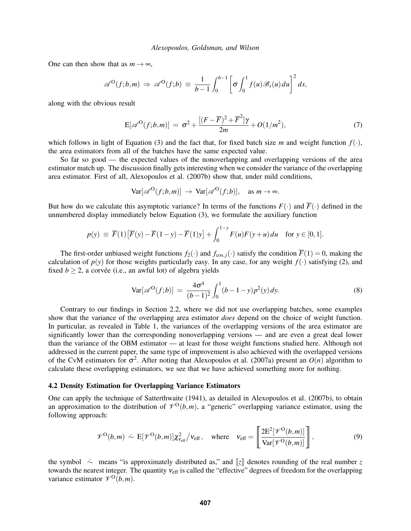One can then show that as  $m \to \infty$ ,

$$
\mathscr{A}^{\mathcal{O}}(f; b, m) \Rightarrow \mathscr{A}^{\mathcal{O}}(f; b) \equiv \frac{1}{b-1} \int_0^{b-1} \left[ \sigma \int_0^1 f(u) \mathscr{B}_s(u) du \right]^2 ds,
$$

along with the obvious result

$$
E[\mathscr{A}^{O}(f;b,m)] = \sigma^2 + \frac{[(F-\overline{F})^2 + \overline{F}^2]\gamma}{2m} + O(1/m^2),
$$
\n(7)

which follows in light of Equation (3) and the fact that, for fixed batch size *m* and weight function  $f(.)$ , the area estimators from all of the batches have the same expected value.

So far so good — the expected values of the nonoverlapping and overlapping versions of the area estimator match up. The discussion finally gets interesting when we consider the variance of the overlapping area estimator. First of all, Alexopoulos et al. (2007b) show that, under mild conditions,

$$
\text{Var}[\mathscr{A}^{\text{O}}(f;b,m)] \rightarrow \text{Var}[\mathscr{A}^{\text{O}}(f;b)], \text{ as } m \rightarrow \infty.
$$

But how do we calculate this asymptotic variance? In terms of the functions  $F(\cdot)$  and  $\overline{F}(\cdot)$  defined in the unnumbered display immediately below Equation (3), we formulate the auxiliary function

$$
p(y) \equiv \overline{F}(1) [\overline{F}(y) - \overline{F}(1-y) - \overline{F}(1)y] + \int_0^{1-y} F(u)F(y+u) du \text{ for } y \in [0,1].
$$

The first-order unbiased weight functions  $f_2(\cdot)$  and  $f_{\cos, i}(\cdot)$  satisfy the condition  $\overline{F}(1) = 0$ , making the calculation of  $p(y)$  for those weights particularly easy. In any case, for any weight  $f(\cdot)$  satisfying (2), and fixed  $b \ge 2$ , a corvée (i.e., an awful lot) of algebra yields

$$
\text{Var}[\mathscr{A}^{\text{O}}(f;b)] = \frac{4\sigma^4}{(b-1)^2} \int_0^1 (b-1-y)p^2(y) \, dy. \tag{8}
$$

Contrary to our findings in Section 2.2, where we did not use overlapping batches, some examples show that the variance of the overlapping area estimator *does* depend on the choice of weight function. In particular, as revealed in Table 1, the variances of the overlapping versions of the area estimator are significantly lower than the corresponding nonoverlapping versions — and are even a great deal lower than the variance of the OBM estimator — at least for those weight functions studied here. Although not addressed in the current paper, the same type of improvement is also achieved with the overlapped versions of the CvM estimators for  $\sigma^2$ . After noting that Alexopoulos et al. (2007a) present an  $O(n)$  algorithm to calculate these overlapping estimators, we see that we have achieved something more for nothing.

#### 4.2 Density Estimation for Overlapping Variance Estimators

One can apply the technique of Satterthwaite (1941), as detailed in Alexopoulos et al. (2007b), to obtain an approximation to the distribution of  $\mathcal{V}^{\{O\}}(b,m)$ , a "generic" overlapping variance estimator, using the following approach:

$$
\mathcal{V}^{\text{O}}(b,m) \sim \text{E}[\mathcal{V}^{\text{O}}(b,m)]\chi^2_{\text{Veff}}/\text{V_{eff}}, \quad \text{where} \quad \text{V_{eff}} = \left[\frac{2\text{E}^2[\mathcal{V}^{\text{O}}(b,m)]}{\text{Var}[\mathcal{V}^{\text{O}}(b,m)]}\right],\tag{9}
$$

the symbol ∼· means "is approximately distributed as," and [[*z*]] denotes rounding of the real number *z* towards the nearest integer. The quantity  $v_{\text{eff}}$  is called the "effective" degrees of freedom for the overlapping variance estimator  $\mathcal{V}^{\mathcal{O}}(b,m)$ .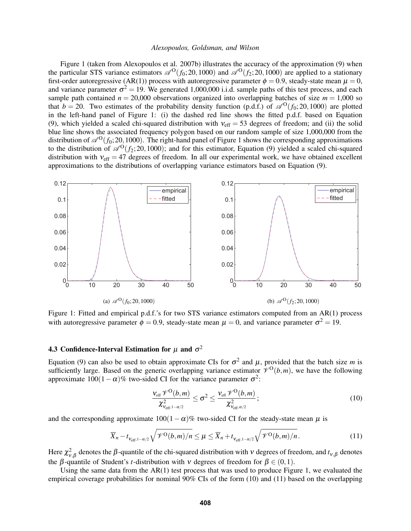Figure 1 (taken from Alexopoulos et al. 2007b) illustrates the accuracy of the approximation (9) when the particular STS variance estimators  $\mathscr{A}^O(f_0; 20, 1000)$  and  $\mathscr{A}^O(f_2; 20, 1000)$  are applied to a stationary first-order autoregressive (AR(1)) process with autoregressive parameter  $\phi = 0.9$ , steady-state mean  $\mu = 0$ , and variance parameter  $\sigma^2 = 19$ . We generated 1,000,000 i.i.d. sample paths of this test process, and each sample path contained  $n = 20,000$  observations organized into overlapping batches of size  $m = 1,000$  so that  $b = 20$ . Two estimates of the probability density function (p.d.f.) of  $\mathcal{A}^O(f_0; 20, 1000)$  are plotted in the left-hand panel of Figure 1: (i) the dashed red line shows the fitted p.d.f. based on Equation (9), which yielded a scaled chi-squared distribution with  $v_{\text{eff}} = 53$  degrees of freedom; and (ii) the solid blue line shows the associated frequency polygon based on our random sample of size 1,000,000 from the distribution of  $\mathcal{A}^O(f_0; 20, 1000)$ . The right-hand panel of Figure 1 shows the corresponding approximations to the distribution of  $\mathscr{A}^{O}(f_2; 20,1000)$ ; and for this estimator, Equation (9) yielded a scaled chi-squared distribution with  $v_{\text{eff}} = 47$  degrees of freedom. In all our experimental work, we have obtained excellent approximations to the distributions of overlapping variance estimators based on Equation (9).



Figure 1: Fitted and empirical p.d.f.'s for two STS variance estimators computed from an AR(1) process with autoregressive parameter  $\phi = 0.9$ , steady-state mean  $\mu = 0$ , and variance parameter  $\sigma^2 = 19$ .

# 4.3 Confidence-Interval Estimation for  $\mu$  and  $\sigma^2$

Equation (9) can also be used to obtain approximate CIs for  $\sigma^2$  and  $\mu$ , provided that the batch size m is sufficiently large. Based on the generic overlapping variance estimator  $\mathcal{V}^O(b,m)$ , we have the following approximate  $100(1-\alpha)$ % two-sided CI for the variance parameter  $\sigma^2$ :

$$
\frac{v_{\text{eff}}\mathscr{V}^{\text{O}}(b,m)}{\chi^2_{v_{\text{eff},1-\alpha/2}}}\leq\sigma^2\leq\frac{v_{\text{eff}}\mathscr{V}^{\text{O}}(b,m)}{\chi^2_{v_{\text{eff},\alpha/2}}};\tag{10}
$$

and the corresponding approximate  $100(1-\alpha)\%$  two-sided CI for the steady-state mean  $\mu$  is

$$
\overline{X}_n - t_{\nu_{\text{eff}},1-\alpha/2} \sqrt{\mathcal{V}^O(b,m)/n} \le \mu \le \overline{X}_n + t_{\nu_{\text{eff}},1-\alpha/2} \sqrt{\mathcal{V}^O(b,m)/n} \,. \tag{11}
$$

Here  $\chi^2_{v,\beta}$  denotes the  $\beta$ -quantile of the chi-squared distribution with  $v$  degrees of freedom, and  $t_{v,\beta}$  denotes the *β*-quantile of Student's *t*-distribution with *v* degrees of freedom for  $β ∈ (0,1)$ .

Using the same data from the  $AR(1)$  test process that was used to produce Figure 1, we evaluated the empirical coverage probabilities for nominal 90% CIs of the form (10) and (11) based on the overlapping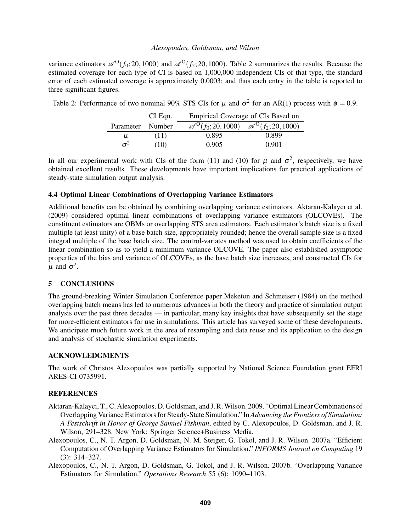variance estimators  $\mathscr{A}^O(f_0; 20, 1000)$  and  $\mathscr{A}^O(f_2; 20, 1000)$ . Table 2 summarizes the results. Because the estimated coverage for each type of CI is based on 1,000,000 independent CIs of that type, the standard error of each estimated coverage is approximately 0.0003; and thus each entry in the table is reported to three significant figures.

|                  | $CI$ Eqn. | Empirical Coverage of CIs Based on |                                                                                 |  |
|------------------|-----------|------------------------------------|---------------------------------------------------------------------------------|--|
| Parameter Number |           |                                    | $\mathscr{A}^{\text{O}}(f_0; 20, 1000)$ $\mathscr{A}^{\text{O}}(f_2; 20, 1000)$ |  |
| μ                | (11)      | 0.895                              | 0.899                                                                           |  |
| $\sigma^2$       | (10)      | 0.905                              | 0.901                                                                           |  |

Table 2: Performance of two nominal 90% STS CIs for  $\mu$  and  $\sigma^2$  for an AR(1) process with  $\phi = 0.9$ .

In all our experimental work with CIs of the form (11) and (10) for  $\mu$  and  $\sigma^2$ , respectively, we have obtained excellent results. These developments have important implications for practical applications of steady-state simulation output analysis.

# 4.4 Optimal Linear Combinations of Overlapping Variance Estimators

Additional benefits can be obtained by combining overlapping variance estimators. Aktaran-Kalaycı et al. (2009) considered optimal linear combinations of overlapping variance estimators (OLCOVEs). The constituent estimators are OBMs or overlapping STS area estimators. Each estimator's batch size is a fixed multiple (at least unity) of a base batch size, appropriately rounded; hence the overall sample size is a fixed integral multiple of the base batch size. The control-variates method was used to obtain coefficients of the linear combination so as to yield a minimum variance OLCOVE. The paper also established asymptotic properties of the bias and variance of OLCOVEs, as the base batch size increases, and constructed CIs for  $\mu$  and  $\sigma^2$ .

# 5 CONCLUSIONS

The ground-breaking Winter Simulation Conference paper Meketon and Schmeiser (1984) on the method overlapping batch means has led to numerous advances in both the theory and practice of simulation output analysis over the past three decades — in particular, many key insights that have subsequently set the stage for more-efficient estimators for use in simulations. This article has surveyed some of these developments. We anticipate much future work in the area of resampling and data reuse and its application to the design and analysis of stochastic simulation experiments.

# ACKNOWLEDGMENTS

The work of Christos Alexopoulos was partially supported by National Science Foundation grant EFRI ARES-CI 0735991.

# **REFERENCES**

- Aktaran-Kalaycı, T., C. Alexopoulos, D. Goldsman, and J. R.Wilson. 2009. "Optimal Linear Combinations of Overlapping Variance Estimators for Steady-State Simulation." In *Advancing the Frontiers of Simulation: A Festschrift in Honor of George Samuel Fishman*, edited by C. Alexopoulos, D. Goldsman, and J. R. Wilson, 291–328. New York: Springer Science+Business Media.
- Alexopoulos, C., N. T. Argon, D. Goldsman, N. M. Steiger, G. Tokol, and J. R. Wilson. 2007a. "Efficient Computation of Overlapping Variance Estimators for Simulation." *INFORMS Journal on Computing* 19 (3): 314–327.
- Alexopoulos, C., N. T. Argon, D. Goldsman, G. Tokol, and J. R. Wilson. 2007b. "Overlapping Variance Estimators for Simulation." *Operations Research* 55 (6): 1090–1103.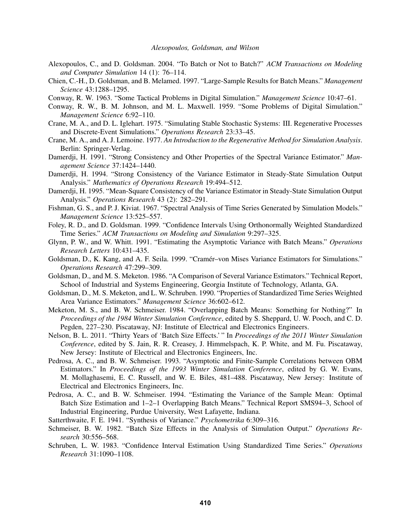- Alexopoulos, C., and D. Goldsman. 2004. "To Batch or Not to Batch?" *ACM Transactions on Modeling and Computer Simulation* 14 (1): 76–114.
- Chien, C.-H., D. Goldsman, and B. Melamed. 1997. "Large-Sample Results for Batch Means." *Management Science* 43:1288–1295.
- Conway, R. W. 1963. "Some Tactical Problems in Digital Simulation." *Management Science* 10:47–61.
- Conway, R. W., B. M. Johnson, and M. L. Maxwell. 1959. "Some Problems of Digital Simulation." *Management Science* 6:92–110.
- Crane, M. A., and D. L. Iglehart. 1975. "Simulating Stable Stochastic Systems: III. Regenerative Processes and Discrete-Event Simulations." *Operations Research* 23:33–45.
- Crane, M. A., and A. J. Lemoine. 1977. *An Introduction to the Regenerative Method for Simulation Analysis*. Berlin: Springer-Verlag.
- Damerdji, H. 1991. "Strong Consistency and Other Properties of the Spectral Variance Estimator." *Management Science* 37:1424–1440.
- Damerdji, H. 1994. "Strong Consistency of the Variance Estimator in Steady-State Simulation Output Analysis." *Mathematics of Operations Research* 19:494–512.
- Damerdji, H. 1995. "Mean-Square Consistency of the Variance Estimator in Steady-State Simulation Output Analysis." *Operations Research* 43 (2): 282–291.
- Fishman, G. S., and P. J. Kiviat. 1967. "Spectral Analysis of Time Series Generated by Simulation Models." *Management Science* 13:525–557.
- Foley, R. D., and D. Goldsman. 1999. "Confidence Intervals Using Orthonormally Weighted Standardized Time Series." *ACM Transactions on Modeling and Simulation* 9:297–325.
- Glynn, P. W., and W. Whitt. 1991. "Estimating the Asymptotic Variance with Batch Means." *Operations Research Letters* 10:431–435.
- Goldsman, D., K. Kang, and A. F. Seila. 1999. "Cramer–von Mises Variance Estimators for Simulations." ´ *Operations Research* 47:299–309.
- Goldsman, D., and M. S. Meketon. 1986. "A Comparison of Several Variance Estimators." Technical Report, School of Industrial and Systems Engineering, Georgia Institute of Technology, Atlanta, GA.
- Goldsman, D., M. S. Meketon, and L. W. Schruben. 1990. "Properties of Standardized Time Series Weighted Area Variance Estimators." *Management Science* 36:602–612.
- Meketon, M. S., and B. W. Schmeiser. 1984. "Overlapping Batch Means: Something for Nothing?" In *Proceedings of the 1984 Winter Simulation Conference*, edited by S. Sheppard, U. W. Pooch, and C. D. Pegden, 227–230. Piscataway, NJ: Institute of Electrical and Electronics Engineers.
- Nelson, B. L. 2011. "Thirty Years of 'Batch Size Effects.' " In *Proceedings of the 2011 Winter Simulation Conference*, edited by S. Jain, R. R. Creasey, J. Himmelspach, K. P. White, and M. Fu. Piscataway, New Jersey: Institute of Electrical and Electronics Engineers, Inc.
- Pedrosa, A. C., and B. W. Schmeiser. 1993. "Asymptotic and Finite-Sample Correlations between OBM Estimators." In *Proceedings of the 1993 Winter Simulation Conference*, edited by G. W. Evans, M. Mollaghasemi, E. C. Russell, and W. E. Biles, 481–488. Piscataway, New Jersey: Institute of Electrical and Electronics Engineers, Inc.
- Pedrosa, A. C., and B. W. Schmeiser. 1994. "Estimating the Variance of the Sample Mean: Optimal Batch Size Estimation and 1–2–1 Overlapping Batch Means." Technical Report SMS94–3, School of Industrial Engineering, Purdue University, West Lafayette, Indiana.
- Satterthwaite, F. E. 1941. "Synthesis of Variance." *Psychometrika* 6:309–316.
- Schmeiser, B. W. 1982. "Batch Size Effects in the Analysis of Simulation Output." *Operations Research* 30:556–568.
- Schruben, L. W. 1983. "Confidence Interval Estimation Using Standardized Time Series." *Operations Research* 31:1090–1108.